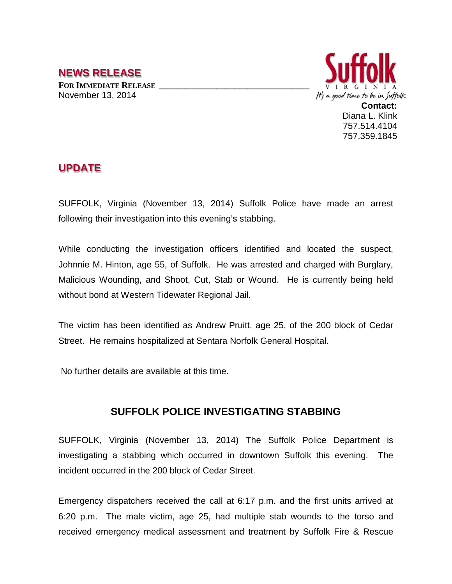## **NEWS RELEASE**

**FOR IMMEDIATE RELEASE \_\_\_\_\_\_\_\_\_\_\_\_\_\_\_\_\_\_\_\_\_\_\_\_\_\_\_\_\_\_\_\_\_\_** November 13, 2014



Diana L. Klink 757.514.4104 757.359.1845

## **UPDATE**

SUFFOLK, Virginia (November 13, 2014) Suffolk Police have made an arrest following their investigation into this evening's stabbing.

While conducting the investigation officers identified and located the suspect, Johnnie M. Hinton, age 55, of Suffolk. He was arrested and charged with Burglary, Malicious Wounding, and Shoot, Cut, Stab or Wound. He is currently being held without bond at Western Tidewater Regional Jail.

The victim has been identified as Andrew Pruitt, age 25, of the 200 block of Cedar Street. He remains hospitalized at Sentara Norfolk General Hospital.

No further details are available at this time.

## **SUFFOLK POLICE INVESTIGATING STABBING**

SUFFOLK, Virginia (November 13, 2014) The Suffolk Police Department is investigating a stabbing which occurred in downtown Suffolk this evening. The incident occurred in the 200 block of Cedar Street.

Emergency dispatchers received the call at 6:17 p.m. and the first units arrived at 6:20 p.m. The male victim, age 25, had multiple stab wounds to the torso and received emergency medical assessment and treatment by Suffolk Fire & Rescue